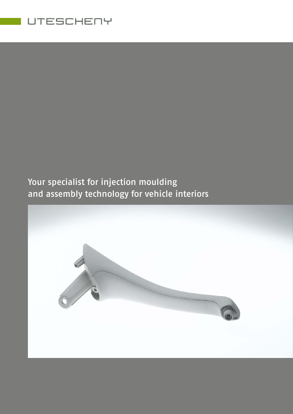

# Your specialist for injection moulding and assembly technology for vehicle interiors

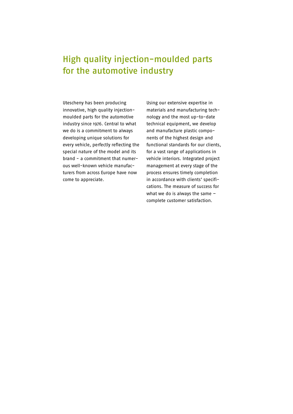### High quality injection-moulded parts for the automotive industry

Utescheny has been producing innovative, high quality injectionmoulded parts for the automotive industry since 1976. Central to what we do is a commitment to always developing unique solutions for every vehicle, perfectly reflecting the special nature of the model and its brand - a commitment that numerous well-known vehicle manufacturers from across Europe have now come to appreciate.

Using our extensive expertise in materials and manufacturing technology and the most up-to-date technical equipment, we develop and manufacture plastic components of the highest design and functional standards for our clients, for a vast range of applications in vehicle interiors. Integrated project management at every stage of the process ensures timely completion in accordance with clients' specifications. The measure of success for what we do is always the same – complete customer satisfaction.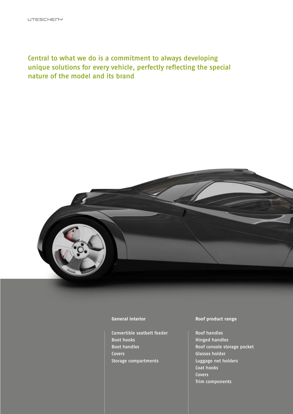### Central to what we do is a commitment to always developing unique solutions for every vehicle, perfectly reflecting the special nature of the model and its brand



#### **General interior**

Convertible seatbelt feeder Boot hooks Boot handles Covers Storage compartments

#### **Roof product range**

Roof handles Hinged handles Roof console storage pocket Glasses holder Luggage net holders Coat hooks **Covers** Trim components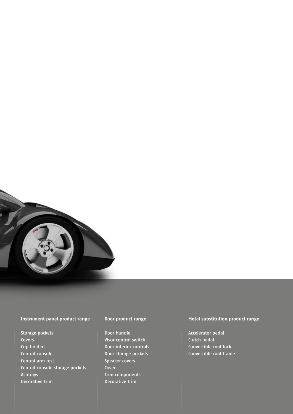

#### **Instrument panel product range**

Storage pockets Covers Cup holders Central console Central arm rest Central console storage pockets Ashtrays Decorative trim

#### **Door product range**

Door handle Visor control switch Door interior controls Door storage pockets Speaker covers Covers Trim components Decorative trim

#### **Metal substitution product range**

Accelerator pedal Clutch pedal Convertible roof lock Convertible roof frame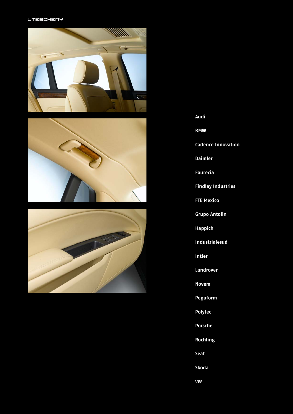#### **UTESCHENY**







Audi

**BMW** 

**Cadence Innovation** 

**Daimler** 

**Faurecia** 

**Findlay Industries** 

**FTE Mexico** 

**Grupo Antolin** 

**Happich** 

industrialesud

Intier

Landrover

**Novem** 

Peguform

Polytec

**Porsche** 

Röchling

Seat

**Skoda** 

**VW**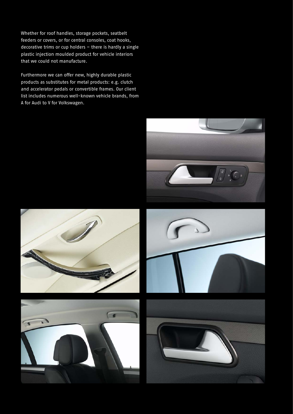Whether for roof handles, storage pockets, seatbelt feeders or covers, or for central consoles, coat hooks, decorative trims or cup holders – there is hardly a single plastic injection moulded product for vehicle interiors that we could not manufacture.

Furthermore we can offer new, highly durable plastic products as substitutes for metal products: e.g. clutch and accelerator pedals or convertible frames. Our client list includes numerous well-known vehicle brands, from A for Audi to V for Volkswagen.









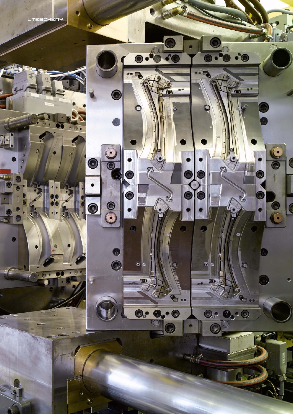

**I-**

 $\bullet$ 

 $\bullet$ 

 $(\textcolor{red}{\bullet}$ 

 $\odot$ 

8

 $\bullet$ 

 $\overline{\mathbf{O}}$ 

 $\mathbb{C}$ 

P

 $\bullet$ 

O

 $\bullet$ 

 $\overline{\mathbf{Q}}$ 

 $\mathbf{D}_\circ$ 

í,

 $\frac{a}{\bullet}$ 

C

 $\overline{\Omega}$ 

 $\odot$ 

**Except** 

۰

J

 $\bullet$ 

q

 $\bullet$   $\bullet$ 

R

 $\Theta$ .

 $\mathbf{\Omega}$ 

 $\begin{array}{c} \nabla \mathcal{E} \\
\uparrow \end{array}$ 

..

0

Ž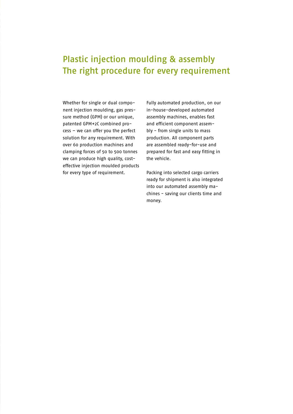## Plastic injection moulding & assembly The right procedure for every requirement

Whether for single or dual component injection moulding, gas pressure method (GPM) or our unique, patented GPM+2C combined process – we can offer you the perfect solution for any requirement. With over 60 production machines and clamping forces of 50 to 500 tonnes we can produce high quality, costeffective injection moulded products for every type of requirement.

Fully automated production, on our in-house-developed automated assembly machines, enables fast and efficient component assembly - from single units to mass production. All component parts are assembled ready-for-use and prepared for fast and easy fitting in the vehicle.

Packing into selected cargo carriers ready for shipment is also integrated into our automated assembly machines - saving our clients time and money.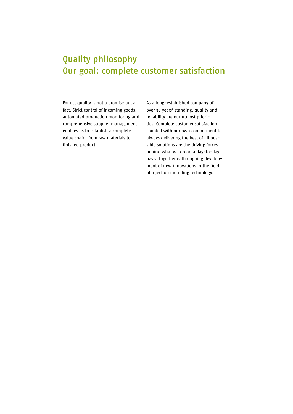### Quality philosophy Our goal: complete customer satisfaction

For us, quality is not a promise but a fact. Strict control of incoming goods, automated production monitoring and comprehensive supplier management enables us to establish a complete value chain, from raw materials to finished product.

As a long-established company of over 30 years' standing, quality and reliability are our utmost priorities. Complete customer satisfaction coupled with our own commitment to always delivering the best of all possible solutions are the driving forces behind what we do on a day-to-day basis, together with ongoing development of new innovations in the field of injection moulding technology.